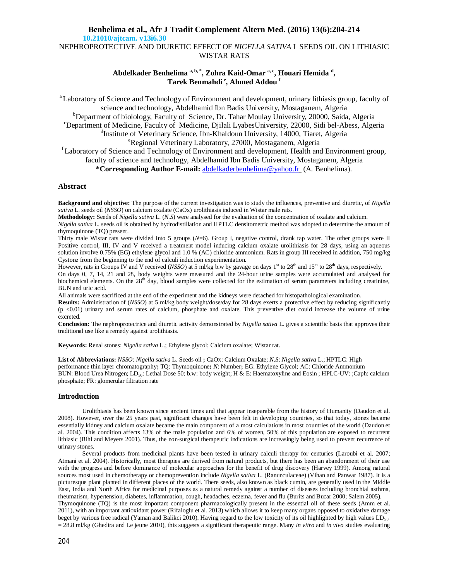# **Benhelima et al., Afr J Tradit Complement Altern Med. (2016) 13(6):204-214 10.21010/ajtcam. v13i6.30** NEPHROPROTECTIVE AND DIURETIC EFFECT OF *NIGELLA SATIVA* L SEEDS OIL ON LITHIASIC WISTAR RATS

# Abdelkader Benhelima <sup>a, b, \*</sup>, Zohra Kaid-Omar <sup>a, c</sup>, Houari Hemida <sup>d</sup>, **Tarek Benmahdi <sup>e</sup> , Ahmed Addou <sup>f</sup>**

<sup>a</sup>Laboratory of Science and Technology of Environment and development, urinary lithiasis group, faculty of science and technology, Abdelhamid Ibn Badis University, Mostaganem, Algeria <sup>b</sup>Department of biolology, Faculty of Science, Dr. Tahar Moulay University, 20000, Saida, Algeria <sup>c</sup>Department of Medicine, Faculty of Medicine, Djilali LyabesUniversity, 22000, Sidi bel-Abess, Algeria <sup>d</sup>Institute of Veterinary Science, Ibn-Khaldoun University, 14000, Tiaret, Algeria <sup>e</sup>Regional Veterinary Laboratory, 27000, Mostaganem, Algeria

<sup>r</sup>Laboratory of Science and Technology of Environment and development, Health and Environment group, faculty of science and technology, Abdelhamid Ibn Badis University, Mostaganem, Algeria **\*Corresponding Author E-mail:** abdelkaderbenhelima@yahoo.fr (A. Benhelima).

## **Abstract**

**Background and objective:** The purpose of the current investigation was to study the influences, preventive and diuretic, of *Nigella sativa* L. seeds oil (*NSSO*) on calcium oxalate (CaOx) urolithiasis induced in Wistar male rats.

**Methodology:** Seeds of *Nigella sativa* L. (*N.S*) were analysed for the evaluation of the concentration of oxalate and calcium.

*Nigella sativa* L. seeds oil is obtained by hydrodistillation and HPTLC densitometric method was adopted to determine the amount of thymoquinone (TQ) present.

Thirty male Wistar rats were divided into 5 groups (*N*=6). Group I, negative control, drank tap water. The other groups were II Positive control, III, IV and V received a treatment model inducing calcium oxalate urolithiasis for 28 days, using an aqueous solution involve 0.75% (EG) ethylene glycol and 1.0 % (AC) chloride ammonium. Rats in group III received in addition, 750 mg/kg Cystone from the beginning to the end of calculi induction experimentation.

However, rats in Groups IV and V received (*NSSO*) at 5 ml/kg b.w by gavage on days 1<sup>st</sup> to 28<sup>th</sup> and 15<sup>th</sup> to 28<sup>th</sup> days, respectively. On days 0, 7, 14, 21 and 28, body weights were measured and the 24-hour urine samples were accumulated and analysed for biochemical elements. On the 28<sup>th</sup> day, blood samples were collected for the estimation of serum parameters including creatinine, BUN and uric acid.

All animals were sacrificed at the end of the experiment and the kidneys were detached for histopathological examination.

**Results:** Administration of (*NSSO*) at 5 ml/kg body weight/dose/day for 28 days exerts a protective effect by reducing significantly (p <0.01) urinary and serum rates of calcium, phosphate and oxalate. This preventive diet could increase the volume of urine excreted.

**Conclusion:** The nephroprotectrice and diuretic activity demonstrated by *Nigella sativa* L. gives a scientific basis that approves their traditional use like a remedy against urolithiasis.

**Keywords:** Renal stones; *Nigella sativa* L.; Ethylene glycol; Calcium oxalate; Wistar rat.

**List of Abbreviations:** *NSSO*: *Nigella sativa* L. Seeds oil **;** CaOx: Calcium Oxalate; *N.S*: *Nigella sativa* L.; HPTLC: High performance thin layer chromatography**;** TQ: Thymoquinone**;** *N*: Number**;** EG: Ethylene Glycol; AC: Chloride Ammonium BUN: Blood Urea Nitrogen; LD<sub>50</sub>: Lethal Dose 50; b.w: body weight; H & E: Haematoxyline and Eosin ; HPLC-UV: ;Caph: calcium phosphate; FR: glomerular filtration rate

## **Introduction**

Urolithiasis has been known since ancient times and that appear inseparable from the history of Humanity (Daudon et al. 2008). However, over the 25 years past, significant changes have been felt in developing countries, so that today, stones became essentially kidney and calcium oxalate became the main component of a most calculations in most countries of the world (Daudon et al. 2004). This condition affects 13% of the male population and 6% of women, 50% of this population are exposed to recurrent lithiasic (Bihl and Meyers 2001). Thus, the non-surgical therapeutic indications are increasingly being used to prevent recurrence of urinary stones.

Several products from medicinal plants have been tested in urinary calculi therapy for centuries (Laroubi et al. 2007; Atmani et al. 2004). Historically, most therapies are derived from natural products, but there has been an abandonment of their use with the progress and before dominance of molecular approaches for the benefit of drug discovery (Harvey 1999). Among natural sources most used in chemotherapy or chemoprevention include *Nigella sativa* L. (Ranunculaceae) (Vihan and Panwar 1987). It is a picturesque plant planted in different places of the world. There seeds, also known as black cumin, are generally used in the Middle East, India and North Africa for medicinal purposes as a natural remedy against a number of diseases including bronchial asthma, rheumatism, hypertension, diabetes, inflammation, cough, headaches, eczema, fever and flu **(**Burits and Bucar 2000; Salem 2005**)**. Thymoquinone (TQ) is the most important component pharmacologically present in the essential oil of these seeds (Amm et al. 2011), with an important antioxidant power (Rifaioglu et al. 2013) which allows it to keep many organs opposed to oxidative damage beget by various free radical (Yaman and Balikci 2010). Having regard to the low toxicity of its oil highlighted by high values  $LD_{50}$ = 28.8 ml/kg (Ghedira and Le jeune 2010), this suggests a significant therapeutic range. Many *in vitro* and *in vivo* studies evaluating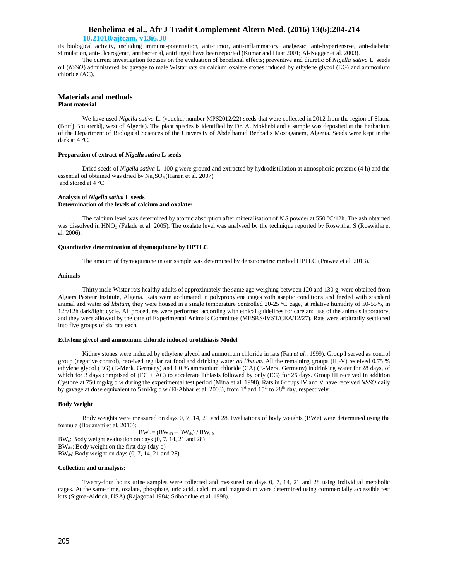## **10.21010/ajtcam. v13i6.30**

its biological activity, including immune-potentiation, anti-tumor, anti-inflammatory, analgesic, anti-hypertensive, anti-diabetic stimulation, anti-ulcerogenic, antibacterial, antifungal have been reported (Kumar and Huat 2001; Al-Naggar et al. 2003).

The current investigation focuses on the evaluation of beneficial effects; preventive and diuretic of *Nigella sativa* L. seeds oil (*NSSO*) administered by gavage to male Wistar rats on calcium oxalate stones induced by ethylene glycol (EG) and ammonium chloride (AC).

### **Materials and methods Plant material**

We have used *Nigella sativa* L. (voucher number MPS2012/22) seeds that were collected in 2012 from the region of Slatna (Bordj Bouareridj, west of Algeria). The plant species is identified by Dr. A. Mokhebi and a sample was deposited at the herbarium of the Department of Biological Sciences of the University of Abdelhamid Benbadis Mostaganem, Algeria. Seeds were kept in the dark at 4 °C.

### **Preparation of extract of** *Nigella sativa* **L seeds**

Dried seeds of *Nigella sativa* L. 100 g were ground and extracted by hydrodistillation at atmospheric pressure (4 h) and the essential oil obtained was dried by  $Na<sub>2</sub>SO<sub>4</sub>$  (Hanen et al. 2007) and stored at 4 °C.

### **Analysis of** *Nigella sativa* **L seeds Determination of the levels of calcium and oxalate:**

The calcium level was determined by atomic absorption after mineralisation of *N.S* powder at 550 °C/12h. The ash obtained was dissolved in  $HNO<sub>3</sub>$  (Falade et al. 2005). The oxalate level was analysed by the technique reported by Roswitha. S (Roswitha et al. 2006).

#### **Quantitative determination of thymoquinone by HPTLC**

The amount of thymoquinone in our sample was determined by densitometric method HPTLC (Prawez et al. 2013).

#### **Animals**

Thirty male Wistar rats healthy adults of approximately the same age weighing between 120 and 130 g, were obtained from Algiers Pasteur Institute, Algeria. Rats were acclimated in polypropylene cages with aseptic conditions and feeded with standard animal and water *ad libitum*, they were housed in a single temperature controlled 20-25 °C cage, at relative humidity of 50-55%, in 12h/12h dark/light cycle. All procedures were performed according with ethical guidelines for care and use of the animals laboratory, and they were allowed by the care of Experimental Animals Committee (MESRS/IVST/CEA/12/27). Rats were arbitrarily sectioned into five groups of six rats each.

#### **Ethylene glycol and ammonium chloride induced urolithiasis Model**

Kidney stones were induced by ethylene glycol and ammonium chloride in rats (Fan *et al.,* 1999). Group I served as control group (negative control), received regular rat food and drinking water *ad libitum*. All the remaining groups (II -V) received 0.75 % ethylene glycol (EG) (E-Merk, Germany) and 1.0 % ammonium chloride (CA) (E-Merk, Germany) in drinking water for 28 days, of which for 3 days comprised of  $(EG + AC)$  to accelerate lithiasis followed by only  $(EG)$  for 25 days. Group III received in addition Cystone at 750 mg/kg b.w during the experimental test period (Mitra et al. 1998). Rats in Groups IV and V have received *NSSO* daily by gavage at dose equivalent to 5 ml/kg b.w (El-Abhar et al. 2003), from  $1<sup>st</sup>$  and  $15<sup>th</sup>$  to  $28<sup>th</sup>$  day, respectively.

### **Body Weight**

Body weights were measured on days 0, 7, 14, 21 and 28. Evaluations of body weights (BWe) were determined using the formula (Bouanani et al. 2010):

 $BW_e = (BW_{d0} - BW_{ds}) / BW_{d0}$ BWe: Body weight evaluation on days (0, 7, 14, 21 and 28)  $BW_{d0}$ : Body weight on the first day (day o) BW<sub>ds</sub>: Body weight on days (0, 7, 14, 21 and 28)

### **Collection and urinalysis:**

Twenty-four hours urine samples were collected and measured on days 0, 7, 14, 21 and 28 using individual metabolic cages. At the same time, oxalate, phosphate, uric acid, calcium and magnesium were determined using commercially accessible test kits (Sigma-Aldrich, USA) (Rajagopal 1984; Sriboonlue et al. 1998).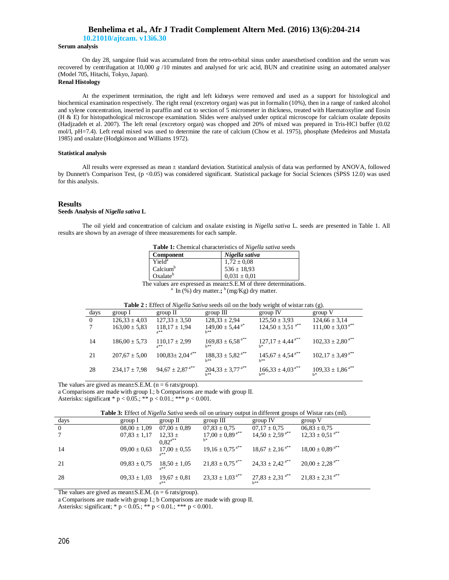**10.21010/ajtcam. v13i6.30**

### **Serum analysis**

On day 28, sanguine fluid was accumulated from the retro-orbital sinus under anaesthetised condition and the serum was recovered by centrifugation at 10,000 *g* /10 minutes and analysed for uric acid, BUN and creatinine using an automated analyser (Model 705, Hitachi, Tokyo, Japan).

## **Renal Histology**

At the experiment termination, the right and left kidneys were removed and used as a support for histological and biochemical examination respectively. The right renal (excretory organ) was put in formalin (10%), then in a range of ranked alcohol and xylene concentration, inserted in paraffin and cut to section of 5 micrometer in thickness, treated with Haematoxyline and Eosin (H & E) for histopathological microscope examination. Slides were analysed under optical microscope for calcium oxalate deposits (Hadjzadeh et al. 2007). The left renal (excretory organ) was chopped and 20% of mixed was prepared in Tris-HCl buffer (0.02 mol/l, pH=7.4). Left renal mixed was used to determine the rate of calcium (Chow et al. 1975), phosphate (Medeiros and Mustafa 1985) and oxalate (Hodgkinson and Williams 1972).

### **Statistical analysis**

All results were expressed as mean ± standard deviation. Statistical analysis of data was performed by ANOVA, followed by Dunnett's Comparison Test, (p <0.05) was considered significant. Statistical package for Social Sciences (SPSS 12.0) was used for this analysis.

#### **Results**

### **Seeds Analysis of** *Nigella sativa* **L**

The oil yield and concentration of calcium and oxalate existing in *Nigella sativa* L. seeds are presented in Table 1. All results are shown by an average of three measurements for each sample.

| <b>Table 1:</b> Chemical characteristics of Nigella sativa seeds |  |  |  |
|------------------------------------------------------------------|--|--|--|
|------------------------------------------------------------------|--|--|--|

| Component            | Nigella sativa   |
|----------------------|------------------|
| Yield <sup>a</sup>   | $1,72 \pm 0.08$  |
| Calcium <sup>b</sup> | $536 \pm 18.93$  |
| Oxalate <sup>b</sup> | $0.031 \pm 0.01$ |

The values are expressed as mean±S.E.M of three determinations. <sup>a</sup> In  $\left(\frac{9}{6}\right)$  dry matter.; <sup>b</sup>(mg/Kg) dry matter.

| days     | group 1           | group II                         | $group$ $III$                             | group IV                         | group V                          |
|----------|-------------------|----------------------------------|-------------------------------------------|----------------------------------|----------------------------------|
| $\Omega$ | $126.33 \pm 4.03$ | $127.33 \pm 3.50$                | $128.33 \pm 2.94$                         | $125,50 \pm 3,93$                | $124,66 \pm 3,14$                |
|          | $163,00 \pm 5,83$ | $118,17 \pm 1,94$<br>$a**$       | $149,00 \pm 5,44^{a*}$<br>h**             | $124,50 \pm 3,51$ <sup>a**</sup> | $111,00 \pm 3,03^{a**}$          |
| 14       | $186,00 \pm 5,73$ | $110,17 \pm 2.99$<br>$a**$       | $169,83 \pm 6,58$ <sup>a**</sup><br>h**   | $127,17 \pm 4,44$ <sup>a**</sup> | $102,33 \pm 2,80^{a**}$          |
| 21       | $207.67 \pm 5.00$ | $100,83 \pm 2,04$ <sup>a**</sup> | $188,33 \pm 5,82^{a**}$<br>h**            | $145,67 \pm 4,54^{a**}$          | $102,17 \pm 3,49$ <sup>a**</sup> |
| 28       | $234,17 \pm 7,98$ | $94,67 \pm 2,87$ <sup>a**</sup>  | $204,33 \pm 3,77$ <sup>a**</sup><br>$h**$ | $166,33 \pm 4,03^{a**}$<br>$h**$ | $109,33 \pm 1,86$ <sup>a**</sup> |

The values are gived as mean $\pm$ S.E.M. (n = 6 rats/group).

a Comparisons are made with group I.; b Comparisons are made with group II.

Asterisks: significant \* p < 0.05.; \*\* p < 0.01.; \*\*\* p < 0.001.

**Table 3:** Effect of *Nigella Sativa* seeds oil on urinary output in different groups of Wistar rats (ml).

| days           | group I          | group $\Pi$      | group III                       | group IV                        | group V                         |
|----------------|------------------|------------------|---------------------------------|---------------------------------|---------------------------------|
| $\overline{0}$ | $08,00 \pm 1,09$ | $07.00 \pm 0.89$ | $07,83 \pm 0,75$                | $07.17 \pm 0.75$                | $06,83 \pm 0,75$                |
|                | $07,83 \pm 1,17$ | $12,33 \pm$      | $17,00 \pm 0,89$ <sup>a**</sup> | $14,50 \pm 2,59$ <sup>a**</sup> | $12,33 \pm 0,51^{a**}$          |
|                |                  | $0.82^{a**}$     |                                 |                                 |                                 |
| -14            | $09,00 \pm 0,63$ | $17,00 \pm 0,55$ | $19,16 \pm 0,75$ <sup>a**</sup> | $18,67 \pm 2,16^{a**}$          | $18,00 \pm 0,89$ <sup>a**</sup> |
|                |                  |                  |                                 |                                 |                                 |
| 21             | $09,83 \pm 0,75$ | $18,50 \pm 1,05$ | $21,83 \pm 0,75$ <sup>a**</sup> | $24,33 \pm 2,42^{a**}$          | $20,00 \pm 2,28$ <sup>a**</sup> |
|                |                  |                  |                                 |                                 |                                 |
| 28             | $09,33 \pm 1,03$ | $19,67 \pm 0.81$ | $23,33 \pm 1,03^{a**}$          | $27,83 \pm 2,31$ <sup>a**</sup> | $21,83 \pm 2,31^{a**}$          |
|                |                  | $a**$            |                                 |                                 |                                 |

The values are gived as mean $\pm$ S.E.M. (n = 6 rats/group).

a Comparisons are made with group I.; b Comparisons are made with group II.

Asterisks: significant; \* p < 0.05.; \*\* p < 0.01.; \*\*\* p < 0.001.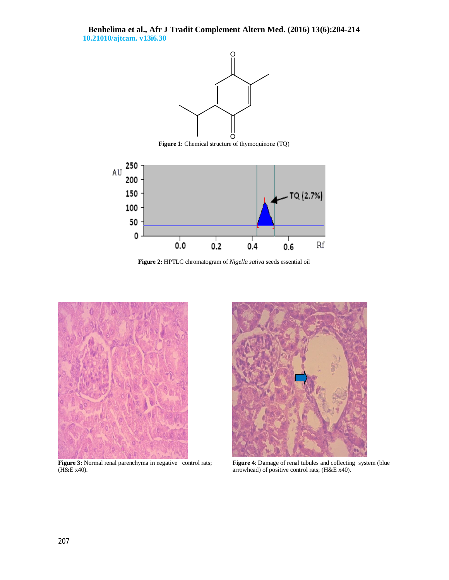

Figure 1: Chemical structure of thymoquinone (TQ)



**Figure 2:** HPTLC chromatogram of *Nigella sativa* seeds essential oil



Figure 3: Normal renal parenchyma in negative control rats; (H&E x40).



**Figure 4**: Damage of renal tubules and collecting system (blue arrowhead) of positive control rats; (H&E x40).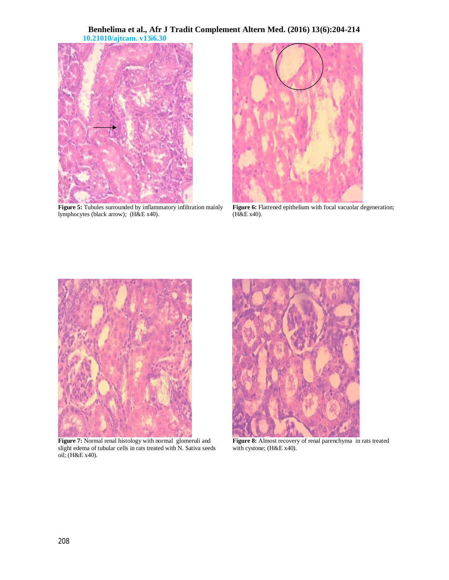

**Figure 5:** Tubules surrounded by inflammatory infiltration mainly lymphocytes (black arrow); (H&E x40).



Figure 6: Flattened epithelium with focal vacuolar degeneration; (H&E x40).



Figure 7: Normal renal histology with normal glomeruli and slight edema of tubular cells in rats treated with N. Sativa seeds oil; (H&E x40).



**Figure 8:** Almost recovery of renal parenchyma in rats treated with cystone; (H&E x40).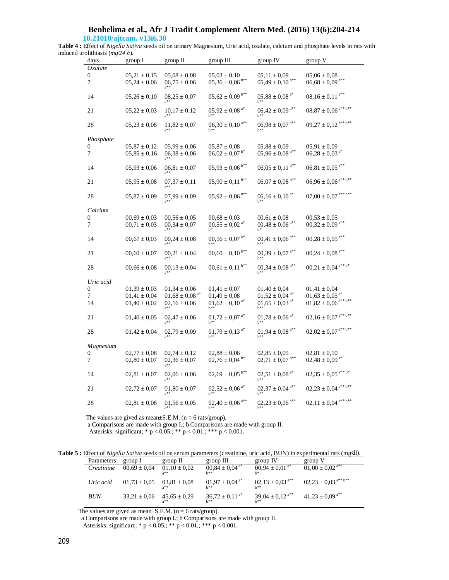**10.21010/ajtcam. v13i6.30**

**Table 4 :** Effect of *Nigella Sativa* seeds oil on urinary Magnesium, Uric acid, oxalate, calcium and phosphate levels in rats with induced urolithiasis (*mg⁄24 h*).

| days                  | group I                              | group II                                       | group III                                  | group IV                                      | group V                                             |
|-----------------------|--------------------------------------|------------------------------------------------|--------------------------------------------|-----------------------------------------------|-----------------------------------------------------|
| Oxalate               |                                      |                                                |                                            |                                               |                                                     |
| $\boldsymbol{0}$<br>7 | $05,21 \pm 0,15$<br>$05,24 \pm 0,06$ | $05,08 \pm 0,08$<br>$06,75 \pm 0,06$<br>$a***$ | $05,03 \pm 0,10$<br>$05,36 \pm 0,06^{b**}$ | $05,11 \pm 0,09$<br>$05,49 \pm 0,10^{b**}$    | $05,06 \pm 0,08$<br>$06,68 \pm 0,09$ <sup>a**</sup> |
| 14                    | $05,26 \pm 0,10$                     | $08,25 \pm 0,07$<br>$a***$                     | $05,62 \pm 0,09$ b**                       | $05,88 \pm 0,08$ <sup>a*</sup><br>$h**$       | $08,\!16\pm0,\!11^{\,\mathrm{a}**}$                 |
| 21                    | $05,22 \pm 0,03$                     | $10,17 \pm 0,12$                               | $05,92 \pm 0,08$ <sup>a*</sup>             | $06,42 \pm 0,09$ <sup>a**</sup>               | $08{,}87\pm0{,}06^{\,a^{**}\,b^{**}}$               |
| 28                    | $05,23 \pm 0,08$                     | $11,82 \pm 0.07$<br>$a***$                     | $06,30 \pm 0,10^{a**}$<br>$b**$            | $06{,}98 \pm 0{,}07$ $^{\mathrm{a}**}$<br>h** | $09{,}27 \pm 0{,}12^{\, \mathrm{a^{**} \, b^{**}}}$ |
| Phosphate             |                                      |                                                |                                            |                                               |                                                     |
| 0                     | $05,87 \pm 0,12$                     | $05,99 \pm 0,06$                               | $05,87 \pm 0,08$                           | $05,88 \pm 0,09$                              | $05,91 \pm 0,09$                                    |
| 7                     | $05,85 \pm 0,16$                     | $06,38 \pm 0,06$                               | $06,02 \pm 0,07$ <sup>b*</sup>             | $05{,}96\pm0{,}08$ $^{\mathrm{b**}}$          | $06,\!28\pm0,\!03$ $^{\mathrm{a*}}$                 |
| 14                    | $05,93 \pm 0,06$                     | $06,81 \pm 0,07$                               | $05,93 \pm 0,06^{b**}$                     | $06,05 \pm 0,11^{b**}$                        | $06,\!81 \pm 0,\!05$ $^{\mathrm{a}**}$              |
| 21                    | $05,95 \pm 0,08$                     | $07,37 \pm 0,11$<br>$a***$                     | $05,90 \pm 0,11$ b**                       | $06,07 \pm 0,08$ <sup>b**</sup>               | $06{,}96 \pm 0{,}06^{\,\mathrm{a^{**}\,b^{**}}}$    |
| 28                    | $05,87 \pm 0,09$                     | $07,99 \pm 0,09$                               | $05,92 \pm 0,06$ <sup>b**</sup>            | $06, 16 \pm 0, 10^{a*}$                       | $07{,}00 \pm 0{,}07^{\;a^{**}\,b^{**}}$             |
| Calcium               |                                      |                                                |                                            |                                               |                                                     |
| 0                     | $00,69 \pm 0,03$                     | $00,56 \pm 0,05$                               | $00,68 \pm 0,03$                           | $00,61 \pm 0,08$                              | $00,\!53\pm0,\!05$                                  |
| 7                     | $00,71 \pm 0,03$                     | $00,34 \pm 0,07$                               | $00,\!55\pm0,\!02$ $^{\mathrm{a*}}$        | $00{,}48 \pm 0{,}06$ $^{\mathrm{a}**}$<br>h*  | $00{,}32\pm0{,}09^{\,\mathrm{a}^{**}}$              |
| 14                    | $00,67 \pm 0,03$                     | $00,24 \pm 0,08$                               | $00,\!56\pm0,\!07$ $^{\mathrm{a*}}$        | $00,\!41\pm0,\!06^{\,\mathrm{a}**}$           | $00,\!28\pm0,\!05^{\,\mathrm{a}**}$                 |
| 21                    | $00,60 \pm 0,07$                     | $00,21 \pm 0,04$                               | $00,\!60\pm0,\!10^{\,\mathrm{b}**}$        | $00,39 \pm 0,07$ <sup>a**</sup>               | $00{,}24 \pm 0{,}08$ $^{\mathrm{a}**}$              |
| 28                    | $00,66 \pm 0,08$                     | $00,13 \pm 0,04$<br>$2$ **                     | $00{,}61 \pm 0{,}11$ $^{\mathrm{b}**}$     | $00{,}34\pm0{,}08$ $^{\mathrm{a}**}$<br>$h**$ | $00,\!21 \pm 0,\!04$ a** b*                         |
| Uric acid             |                                      |                                                |                                            |                                               |                                                     |
| 0                     | $01,39 \pm 0,03$                     | $01,34 \pm 0,06$                               | $01,\!41\pm0,\!07$                         | $01,40 \pm 0,04$                              | $01,41 \pm 0,04$                                    |
| 7                     | $01,\!41\pm0,\!04$                   | $01,68 \pm 0,08$ <sup>a*</sup>                 | $01,\!49\pm0,\!08$                         | $01,52 \pm 0,04$ <sup>b*</sup>                | $01,\!63\pm0,\!05$ $^{\mathrm{a*}}$                 |
| 14                    | $01,40 \pm 0,02$                     | $02,16 \pm 0,06$<br>$a***$                     | $01,62 \pm 0,10^{a*}$<br>b**               | $01,65 \pm 0,03$ <sup>a*</sup><br>$b***$      | $01{,}82 \pm 0{,}06^{\,\mathrm{a^{**}\,b^{**}}}$    |
| 21                    | $01,40 \pm 0,05$                     | $02.47 \pm 0.06$ $^{2^{**}}$                   | $01,72 \pm 0,07$ <sup>a*</sup><br>$h**$    | $01,78 \pm 0,06$ <sup>a*</sup><br>h**         | $02{,}16\pm0{,}07$ $^{\mathrm{a**}\,\mathrm{b**}}$  |
| 28                    | $01,42 \pm 0,04$                     | $02,79 \pm 0,09$                               | $01,79 \pm 0,13$ <sup>a*</sup><br>$h**$    | $01,94 \pm 0,08$ <sup>a**</sup><br>h**        | $02{,}02\pm0{,}07$ $^{\mathrm{a}**\,\mathrm{b}**}$  |
| Magnesium             |                                      |                                                |                                            |                                               |                                                     |
| 0                     | $02,77 \pm 0.08$                     | $02,74 \pm 0,12$                               | $02,88 \pm 0,06$                           | $02,\!85\pm0,\!05$                            | $02,81 \pm 0,10$                                    |
| $\tau$                | $02,80 \pm 0.07$                     | $02,36 \pm 0,07$                               | $02,76 \pm 0,04^{b*}$                      | $02,71 \pm 0.07$ <sup>b**</sup>               | $02{,}48\pm0{,}09$ $^{\mathrm{a*}}$                 |
| 14                    | $02,81 \pm 0,07$                     | $02,06 \pm 0,06$<br>$a***$                     | $02{,}69\pm0{,}05$ $^{\mathrm{b}**}$       | $02,51 \pm 0.08$ <sup>a*</sup><br>h**         | $02{,}35\pm0{,}05\,{^{\mathrm{a**}\,\mathrm{b}*}}$  |
| 21                    | $02,72 \pm 0,07$                     | $01,80 \pm 0,07$                               | $02,52 \pm 0,06$ <sup>a*</sup>             | $02,37 \pm 0.04$ <sup>a**</sup><br>$h**$      | $02{,}23 \pm 0{,}04^{\, \mathrm{a^{**}b^{**}}}$     |
| 28                    | $02,81 \pm 0.08$                     | $01,56 \pm 0,05$                               | $02,40 \pm 0,06$ <sup>a**</sup><br>$b***$  | $02,23 \pm 0,06$ <sup>a**</sup><br>$b***$     | $02{,}11\pm0{,}04^{\,}$ a** b**                     |

The values are gived as mean $\pm$ S.E.M. (n = 6 rats/group).

a Comparisons are made with group I.; b Comparisons are made with group II.

Asterisks: significant; \* p <  $0.05$ .; \*\*\* p <  $0.01$ .; \*\*\* p <  $0.001$ .

**Table 5 :** Effect of *Nigella Sativa* seeds oil on serum parameters (creatinine, uric acid, BUN) in experimental rats (mg⁄dl).

| Parameters | group I          | group II                  | group III                           | group IV                     | group V                         |
|------------|------------------|---------------------------|-------------------------------------|------------------------------|---------------------------------|
| Creatinine | $00.69 \pm 0.04$ | $01,10 \pm 0.02$<br>$a**$ | $00,84 \pm 0,04^{a*}$<br><b>h**</b> | $00,94 \pm 0,01^{a*}$        | $01,00 \pm 0,02^{a**}$          |
| Uric acid  | $01,73 \pm 0.05$ | $03.81 \pm 0.08$<br>$2*$  | $01,97 \pm 0,04^{a*}$<br>トネネ        | $02,13 \pm 0,03^{4*}$<br>トネネ | $02,23 \pm 0,03^{a**b**}$       |
| <b>BUN</b> | $33,21 \pm 0.06$ | $45,65 \pm 0,29$<br>$a**$ | $36,72 \pm 0,11^{a*}$<br>トネネ        | $39,04 \pm 0,12^{4}$<br>h**  | $41,23 \pm 0,09$ <sup>a**</sup> |

The values are gived as mean $\pm$ S.E.M. (n = 6 rats/group).

a Comparisons are made with group I.; b Comparisons are made with group II.

Asterisks: significant; \* p < 0.05.; \*\* p < 0.01.; \*\*\* p < 0.001.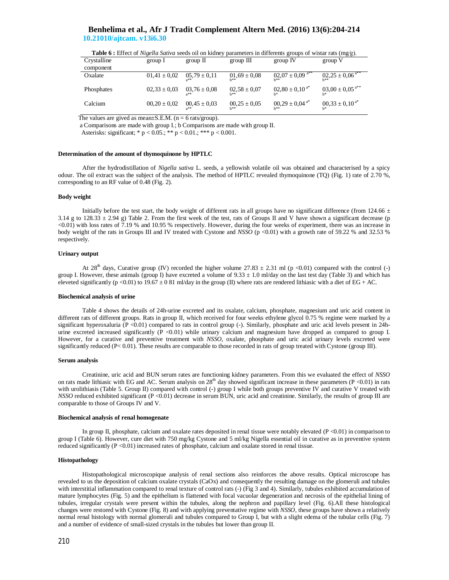| <b>Table 6:</b> Effect of <i>Nigelia Safiva</i> seeds on on kidney parameters in differents groups of wistar rats (mg/g). |                  |                           |                            |                                        |                        |  |  |
|---------------------------------------------------------------------------------------------------------------------------|------------------|---------------------------|----------------------------|----------------------------------------|------------------------|--|--|
| Crystalline                                                                                                               | group I          | group II                  | group III                  | group IV                               | group V                |  |  |
| component                                                                                                                 |                  |                           |                            |                                        |                        |  |  |
| Oxalate                                                                                                                   | $01,41 \pm 0,02$ | $05,79 \pm 0,11$          | $01,69 \pm 0,08$<br>トネネ    | $02,07 \pm 0,09$ <sup>a**</sup><br>トネネ | $02,25 \pm 0,06^{4}$   |  |  |
| Phosphates                                                                                                                | $02,33 \pm 0.03$ | $03.76 \pm 0.08$          | $02,58 \pm 0.07$<br>トネネ    | $02,80 \pm 0,10^{a*}$                  | $03,00 \pm 0,05^{a**}$ |  |  |
| Calcium                                                                                                                   | $00,20 \pm 0.02$ | $00.45 \pm 0.03$<br>$a**$ | $00.25 \pm 0.05$<br>$h$ ** | $00,29 \pm 0.04$ <sup>a*</sup><br>h**  | $00,33 \pm 0,10^{a*}$  |  |  |

**Table 6 :** Effect of *Nigella Sativa* seeds oil on kidney parameters in differents groups of wistar rats (mg⁄g).

The values are gived as mean $\pm$ S.E.M. (n = 6 rats/group).

a Comparisons are made with group I.; b Comparisons are made with group II.

Asterisks: significant; \* p < 0.05.; \*\* p < 0.01.; \*\*\* p < 0.001.

### **Determination of the amount of thymoquinone by HPTLC**

After the hydrodistillation of *Nigella sativa* L. seeds, a yellowish volatile oil was obtained and characterised by a spicy odour. The oil extract was the subject of the analysis. The method of HPTLC revealed thymoquinone (TQ) (Fig. 1) rate of 2.70 %, corresponding to an RF value of 0.48 (Fig. 2).

### **Body weight**

Initially before the test start, the body weight of different rats in all groups have no significant difference (from 124.66  $\pm$ 3.14 g to 128.33  $\pm$  2.94 g) Table 2. From the first week of the test, rats of Groups II and V have shown a significant decrease (p <0.01) with loss rates of 7.19 % and 10.95 % respectively. However, during the four weeks of experiment, there was an increase in body weight of the rats in Groups III and IV treated with Cystone and *NSSO* (p <0.01) with a growth rate of 59.22 % and 32.53 % respectively.

### **Urinary output**

At 28<sup>th</sup> days, Curative group (IV) recorded the higher volume  $27.83 \pm 2.31$  ml (p <0.01) compared with the control (-) group I. However, these animals (group I) have excreted a volume of  $9.33 \pm 1.0$  ml/day on the last test day (Table 3) and which has eleveted significantly (p <0.01) to  $19.67 \pm 0.81$  ml/day in the group (II) where rats are rendered lithiasic with a diet of EG + AC.

### **Biochemical analysis of urine**

Table 4 shows the details of 24h-urine excreted and its oxalate, calcium, phosphate, magnesium and uric acid content in different rats of different groups. Rats in group II, which received for four weeks ethylene glycol 0.75 % regime were marked by a significant hyperoxaluria (P <0.01) compared to rats in control group (-). Similarly, phosphate and uric acid levels present in 24hurine excreted increased significantly  $(P \le 0.01)$  while urinary calcium and magnesium have dropped as compared to group I. However, for a curative and preventive treatment with *NSSO*, oxalate, phosphate and uric acid urinary levels excreted were significantly reduced ( $P < 0.01$ ). These results are comparable to those recorded in rats of group treated with Cystone (group III).

### **Serum analysis**

Creatinine, uric acid and BUN serum rates are functioning kidney parameters. From this we evaluated the effect of *NSSO* on rats made lithiasic with EG and AC. Serum analysis on  $28<sup>th</sup>$  day showed significant increase in these parameters (P <0.01) in rats with urolithiasis (Table 5. Group II) compared with control (-) group I while both groups preventive IV and curative V treated with *NSSO* reduced exhibited significant (P <0.01) decrease in serum BUN, uric acid and creatinine. Similarly, the results of group III are comparable to those of Groups IV and V.

### **Biochemical analysis of renal homogenate**

In group II, phosphate, calcium and oxalate rates deposited in renal tissue were notably elevated  $(P < 0.01)$  in comparison to group I (Table 6). However, cure diet with 750 mg/kg Cystone and 5 ml/kg Nigella essential oil in curative as in preventive system reduced significantly (P <0.01) increased rates of phosphate, calcium and oxalate stored in renal tissue.

### **Histopathology**

Histopathological microscopique analysis of renal sections also reinforces the above results. Optical microscope has revealed to us the deposition of calcium oxalate crystals (CaOx) and consequently the resulting damage on the glomeruli and tubules with interstitial inflammation compared to renal texture of control rats (-) (Fig 3 and 4). Similarly, tubules exhibited accumulation of mature lymphocytes (Fig. 5) and the epithelium is flattened with focal vacuolar degeneration and necrosis of the epithelial lining of tubules, irregular crystals were present within the tubules, along the nephron and papillary level (Fig. 6).All these histological changes were restored with Cystone (Fig. 8) and with applying preventative regime with *NSSO*, these groups have shown a relatively normal renal histology with normal glomeruli and tubules compared to Group I, but with a slight edema of the tubular cells (Fig. 7) and a number of evidence of small-sized crystals in the tubules but lower than group II.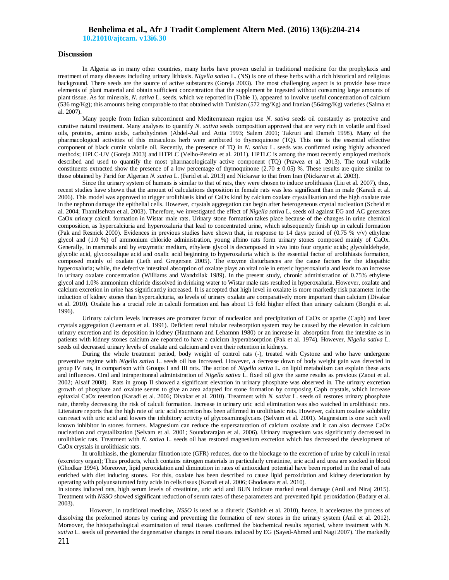**10.21010/ajtcam. v13i6.30**

### **Discussion**

In Algeria as in many other countries, many herbs have proven useful in traditional medicine for the prophylaxis and treatment of many diseases including urinary lithiasis. *Nigella sativa* L. (NS) is one of these herbs with a rich historical and religious background. There seeds are the source of active substances (Goreja 2003). The most challenging aspect is to provide base trace elements of plant material and obtain sufficient concentration that the supplement be ingested without consuming large amounts of plant tissue. As for minerals, *N. sativa* L. seeds, which we reported in (Table 1), appeared to involve useful concentration of calcium (536 mg/Kg); this amounts being comparable to that obtained with Tunisian (572 mg/Kg) and Iranian (564mg/Kg) varieties (Salma et al. 2007).

Many people from Indian subcontinent and Mediterranean region use *N. sativa* seeds oil constantly as protective and curative natural treatment. Many analyses to quantify *N. sativa* seeds composition approved that are very rich in volatile and fixed oils, proteins, amino acids, carbohydrates (Abdel-Aal and Attia 1993; Salem 2001; Takruri and Dameh 1998). Many of the pharmacological activities of this miraculous herb were attributed to thymoquinone (TQ). This one is the essential effective component of black cumin volatile oil. Recently, the presence of TQ in *N. sativa* L. seeds was confirmed using highly advanced methods; HPLC-UV (Goreja 2003) and HTPLC (Velho-Pereira et al. 2011). HPTLC is among the most recently employed methods described and used to quantify the most pharmacologically active component (TQ) (Prawez et al. 2013). The total volatile constituents extracted show the presence of a low percentage of thymoquinone (2.70  $\pm$  0.05) %. These results are quite similar to those obtained by Farid for Algerian *N. sativa* L. (Farid et al. 2013) and Nickavar to that from Iran (Nickavar et al. 2003).

Since the urinary system of humans is similar to that of rats, they were chosen to induce urolithiasis (Liu et al. 2007), thus, recent studies have shown that the amount of calculations deposition in female rats was less significant than in male (Karadi et al. 2006). This model was approved to trigger urolithiasis kind of CaOx kind by calcium oxalate crystallisation and the high oxalate rate in the nephron damage the epithelial cells. However, crystals aggregation can begin after heterogeneous crystal nucleation (Scheid et al. 2004; Thamilselvan et al. 2003). Therefore, we investigated the effect of *Nigella sativa* L. seeds oil against EG and AC generates CaOx urinary calculi formation in Wistar male rats. Urinary stone formation takes place because of the changes in urine chemical composition, as hypercalciuria and hyperoxaluria that lead to concentrated urine, which subsequently finish up in calculi formation (Pak and Resnick 2000). Evidences in previous studies have shown that, in response to 14 days period of (0.75 % v/v) ethylene glycol and (1.0 %) of ammonium chloride administration, young albino rats form urinary stones composed mainly of CaOx. Generally, in mammals and by enzymatic medium, ethylene glycol is decomposed in vivo into four organic acids; glycolaldehyde, glycolic acid, glycooxalique acid and oxalic acid beginning to hyperoxaluria which is the essential factor of urolithiasis formation, composed mainly of oxalate (Leth and Gregersen 2005). The enzyme disturbances are the cause factors for the idiopathic hyperoxaluria; while, the defective intestinal absorption of oxalate plays an vital role in enteric hyperoxaluria and leads to an increase in urinary oxalate concentration (Williams and Wandzilak 1989). In the present study, chronic administration of 0.75% ethylene glycol and 1.0% ammonium chloride dissolved in drinking water to Wistar male rats resulted in hyperoxaluria. However, oxalate and calcium excretion in urine has significantly increased. It is accepted that high level in oxalate is more markedly risk parameter in the induction of kidney stones than hypercalciuria, so levels of urinary oxalate are comparatively more important than calcium (Divakar et al. 2010). Oxalate has a crucial role in calculi formation and has about 15 fold higher effect than urinary calcium (Borghi et al. 1996).

Urinary calcium levels increases are promoter factor of nucleation and precipitation of CaOx or apatite (Caph) and later crystals aggregation (Leemann et al. 1991). Deficient renal tubular reabsorption system may be caused by the elevation in calcium urinary excretion and its deposition in kidney (Hautmann and Lehamnn 1980) or an increase in absorption from the intestine as in patients with kidney stones calcium are reported to have a calcium hyperabsorption (Pak et al. 1974). However, *Nigella sativa* L. seeds oil decreased urinary levels of oxalate and calcium and even their retention in kidneys.

During the whole treatment period, body weight of control rats (-), treated with Cystone and who have undergone preventive regime with *Nigella sativa* L. seeds oil has increased. However, a decrease down of body weight gain was detected in group IV rats, in comparison with Groups I and III rats. The action of *Nigella sativa* L. on lipid metabolism can explain these acts and influences. Oral and intraperitoneal administration of *Nigella sativa* L. fixed oil give the same results as previous (Zaoui et al. 2002; Alsaif 2008). Rats in group II showed a significant elevation in urinary phosphate was observed in. The urinary excretion growth of phosphate and oxalate seems to give an area adapted for stone formation by composing Caph crystals, which increase epitaxial CaOx retention (Karadi et al. 2006; Divakar et al. 2010). Treatment with *N. sativa* L. seeds oil restores urinary phosphate rate, thereby decreasing the risk of calculi formation. Increase in urinary uric acid elimination was also watched in urolithiasic rats. Literature reports that the high rate of uric acid excretion has been affirmed in urolithiasic rats. However, calcium oxalate solubility can react with uric acid and lowers the inhibitory activity of glycosaminoglycans (Selvam et al. 2001). Magnesium is one such well known inhibitor in stones formers. Magnesium can reduce the supersaturation of calcium oxalate and it can also decrease CaOx nucleation and crystallization (Selvam et al. 2001; Soundararajan et al. 2006). Urinary magnesium was significantly decreased in urolithiasic rats. Treatment with *N. sativa* L. seeds oil has restored magnesium excretion which has decreased the development of CaOx crystals in urolithiasic rats.

In urolithiasis, the glomerular filtration rate (GFR) reduces, due to the blockage to the excretion of urine by calculi in renal (excretory organ); Thus products, which contains nitrogen materials in particularly creatinine, uric acid and urea are stocked in blood (Ghodkar 1994). Moreover, lipid peroxidation and diminution in rates of antioxidant potential have been reported in the renal of rats enriched with diet inducing stones. For this, oxalate has been described to cause lipid peroxidation and kidney deterioration by operating with polyunsaturated fatty acids in cells tissus (Karadi et al. 2006; Ghodasara et al. 2010).

In stones induced rats, high serum levels of creatinine, uric acid and BUN indicate marked renal damage (Anil and Niraj 2015). Treatment with *NSSO* showed significant reduction of serum rates of these parameters and prevented lipid peroxidation (Badary et al. 2003).

However, in traditional medicine, *NSSO* is used as a diuretic (Sathish et al. 2010), hence, it accelerates the process of dissolving the preformed stones by curing and preventing the formation of new stones in the urinary system (Anil et al. 2012). Moreover, the histopathological examination of renal tissues confirmed the biochemical results reported, where treatment with *N. sativa* L. seeds oil prevented the degenerative changes in renal tissues induced by EG (Sayed-Ahmed and Nagi 2007). The markedly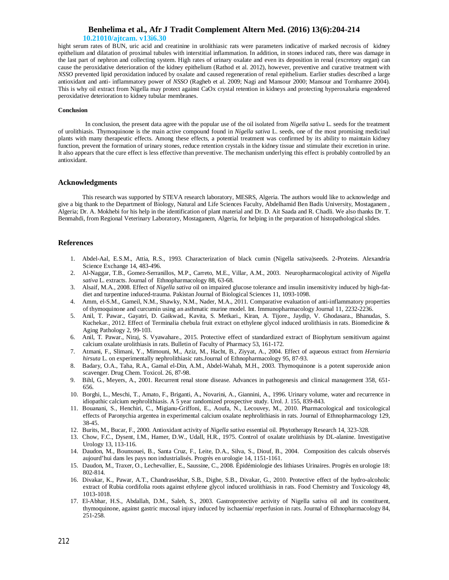**10.21010/ajtcam. v13i6.30**

hight serum rates of BUN, uric acid and creatinine in urolithiasic rats were parameters indicative of marked necrosis of kidney epithelium and dilatation of proximal tubules with interstitial inflammation. In addition, in stones induced rats, there was damage in the last part of nephron and collecting system. High rates of urinary oxalate and even its deposition in renal (excretory organ) can cause the peroxidative deterioration of the kidney epithelium (Rathod et al. 2012), however, preventive and curative treatment with *NSSO* prevented lipid peroxidation induced by oxalate and caused regeneration of renal epithelium. Earlier studies described a large antioxidant and anti- inflammatory power of *NSSO* (Ragheb et al. 2009; Nagi and Mansour 2000; Mansour and Tornhamre 2004). This is why oil extract from Nigella may protect against CaOx crystal retention in kidneys and protecting hyperoxaluria engendered peroxidative deterioration to kidney tubular membranes.

### **Conclusion**

 In conclusion, the present data agree with the popular use of the oil isolated from *Nigella sativa* L. seeds for the treatment of urolithiasis. Thymoquinone is the main active compound found in *Nigella sativa* L. seeds, one of the most promising medicinal plants with many therapeutic effects. Among these effects, a potential treatment was confirmed by its ability to maintain kidney function, prevent the formation of urinary stones, reduce retention crystals in the kidney tissue and stimulate their excretion in urine. It also appears that the cure effect is less effective than preventive. The mechanism underlying this effect is probably controlled by an antioxidant.

### **Acknowledgments**

This research was supported by STEVA research laboratory, MESRS, Algeria. The authors would like to acknowledge and give a big thank to the Department of Biology, Natural and Life Sciences Faculty, Abdelhamid Ben Badis University, Mostaganem , Algeria; Dr. A. Mokhebi for his help in the identification of plant material and Dr. D. Ait Saada and R. Chadli. We also thanks Dr. T. Benmahdi, from Regional Veterinary Laboratory, Mostaganem, Algeria, for helping in the preparation of histopathological slides.

### **References**

- 1. Abdel-Aal, E.S.M., Attia, R.S., 1993. Characterization of black cumin (Nigella sativa)seeds. 2-Proteins. Alexandria Science Exchange 14, 483-496.
- 2. Al-Naggar, T.B., Gomez-Serranillos, M.P., Carreto, M.E., Villar, A.M., 2003. Neuropharmacological activity of *Nigella sativa* L. extracts. Journal of Ethnopharmacology 88, 63-68.
- 3. Alsaif, M.A., 2008. Effect of *Nigella sativa* oil on impaired glucose tolerance and insulin insensitivity induced by high-fatdiet and turpentine induced-trauma. Pakistan Journal of Biological Sciences 11, 1093-1098.
- 4. Amm, el-S.M., Gameil, N.M., Shawky, N.M., Nader, M.A., 2011. Comparative evaluation of anti-inflammatory properties of thymoquinone and curcumin using an asthmatic murine model. Int. Immunopharmacology Journal 11, 2232-2236.
- 5. Anil, T. Pawar., Gayatri, D. Gaikwad., Kavita, S. Metkari., Kiran, A. Tijore., Jaydip, V. Ghodasara., Bhanudas, S. Kuchekar., 2012. Effect of Terminalia chebula fruit extract on ethylene glycol induced urolithiasis in rats. Biomedicine & Aging Pathology 2, 99-103.
- 6. Anil, T. Pawar., Niraj, S. Vyawahare., 2015. Protective effect of standardized extract of Biophytum sensitivum against calcium oxalate urolithiasis in rats. Bulletin of Faculty of Pharmacy 53, 161-172.
- 7. Atmani, F., Slimani, Y., Mimouni, M., Aziz, M., Hacht, B., Ziyyat, A., 2004. Effect of aqueous extract from *Herniaria hirsuta* L. on experimentally nephrolithiasic rats.Journal of Ethnopharmacology 95, 87-93.
- 8. Badary, O.A., Taha, R.A., Gamal el-Din, A.M., Abdel-Wahab, M.H., 2003. Thymoquinone is a potent superoxide anion scavenger. Drug Chem. Toxicol. 26, 87-98.
- 9. Bihl, G., Meyers, A., 2001. Recurrent renal stone disease. Advances in pathogenesis and clinical management 358, 651- 656.
- 10. Borghi, L., Meschi, T., Amato, F., Briganti, A., Novarini, A., Giannini, A., 1996. Urinary volume, water and recurrence in idiopathic calcium nephrolithiasis. A 5 year randomized prospective study. Urol. J. 155, 839-843.
- 11. Bouanani, S., Henchiri, C., Migianu-Griffoni, E., Aoufa, N., Lecouvey, M., 2010. Pharmacological and toxicological effects of Paronychia argentea in experimental calcium oxalate nephrolithiasis in rats. Journal of Ethnopharmacology 129, 38-45.
- 12. Burits, M., Bucar, F., 2000. Antioxidant activity of *Nigella sativa* essential oil. Phytotherapy Research 14, 323-328.
- 13. Chow, F.C., Dysent, I.M., Hamer, D.W., Udall, H.R., 1975. Control of oxalate urolithiasis by DL-alanine. Investigative Urology 13, 113-116.
- 14. Daudon, M., Bounxouei, B., Santa Cruz, F., Leite, D.A., Silva, S., Diouf, B., 2004. Composition des calculs observés aujourd'hui dans les pays non industrialisés. Progrès en urologie 14, 1151-1161.
- 15. Daudon, M., Traxer, O., Lechevallier, E., Saussine, C., 2008. Épidémiologie des lithiases Urinaires. Progrès en urologie 18: 802-814.
- 16. Divakar, K., Pawar, A.T., Chandrasekhar, S.B., Dighe, S.B., Divakar, G., 2010. Protective effect of the hydro-alcoholic extract of Rubia cordifolia roots against ethylene glycol induced urolithiasis in rats. Food Chemistry and Toxicology 48, 1013-1018.
- 17. El-Abhar, H.S., Abdallah, D.M., Saleh, S., 2003. Gastroprotective activity of Nigella sativa oil and its constituent, thymoquinone, against gastric mucosal injury induced by ischaemia/ reperfusion in rats. Journal of Ethnopharmacology 84, 251-258.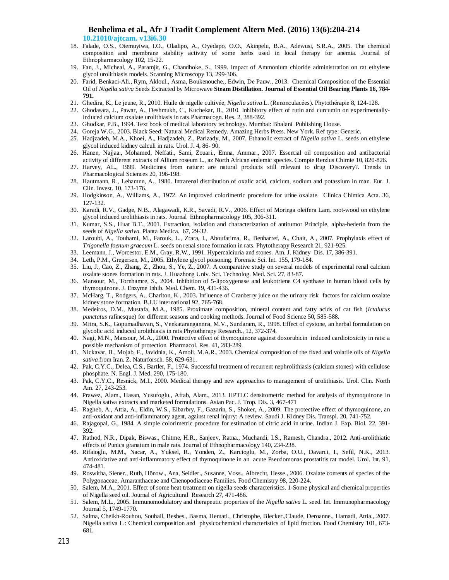- 18. Falade, O.S., Otemuyiwa, I.O., Oladipo, A., Oyedapo, O.O., Akinpelu, B.A., Adewusi, S.R.A., 2005. The chemical composition and membrane stability activity of some herbs used in local therapy for anemia. Journal of Ethnopharmacology 102, 15-22.
- 19. Fan, J., Micheal, A., Paramjit, G., Chandhoke, S., 1999. Impact of Ammonium chloride administration on rat ethylene glycol urolithiasis models. Scanning Microscopy 13, 299-306.
- 20. Farid, Benkaci-Ali., Rym, Akloul., Asma, Boukenouche., Edwin, De Pauw., 2013. Chemical Composition of the Essential Oil of *Nigella sativa* Seeds Extracted by Microwave **Steam Distillation. Journal of Essential Oil Bearing Plants 16, 784- 791.**
- 21. Ghedira, K., Le jeune, R., 2010. Huile de nigelle cultivée, *Nigella sativa* L. (Renonculacées). Phytothérapie 8, 124-128.
- 22. Ghodasara, J., Pawar, A., Deshmukh, C., Kuchekar, B., 2010. Inhibitory effect of rutin and curcumin on experimentallyinduced calcium oxalate urolithiasis in rats.Pharmacogn. Res. 2, 388-392.
- 23. Ghodkar, P.B., 1994. Text book of medical laboratory technology. Mumbai: Bhalani Publishing House.
- 24. Goreja W.G., 2003. Black Seed: Natural Medical Remedy. Amazing Herbs Press. New York. Ref type: Generic.
- *25.* Hadjzadeh, M.A., Khoei, A., Hadjzadeh, Z., Parizady, M., 2007. Ethanolic extract of *Nigella sativa* L. seeds on ethylene glycol induced kidney calculi in rats. Urol. J. 4, 86- 90.
- 26. Hanen, Najjaa., Mohamed, Neffati., Sami, Zouari., Emna, Ammar., 2007. Essential oil composition and antibacterial activity of different extracts of Allium roseum L., az North African endemic species. Compte Rendus Chimie 10, 820-826.
- 27. Harvey, AL., 1999. Medicines from nature: are natural products still relevant to drug Discovery?. Trends in Pharmacological Sciences 20, 196-198.
- 28. Hautmann, R., Lehamnn, A., 1980. Intrarenal distribution of oxalic acid, calcium, sodium and potassium in man. Eur. J. Clin. Invest. 10, 173-176.
- 29. Hodgkinson, A., Williams, A., 1972. An improved colorimetric procedure for urine oxalate. Clinica Chimica Acta. 36, 127-132.
- 30. Karadi, R.V., Gadge, N.B., Alagawadi, K.R., Savadi, R.V., 2006. Effect of Moringa oleifera Lam. root-wood on ethylene glycol induced urolithiasis in rats. Journal Ethnopharmacology 105, 306-311.
- 31. Kumar, S.S., Huat B.T., 2001. Extraction, isolation and characterization of antitumor Principle, alpha-hederin from the seeds of *Nigella sativa*. Planta Medica. 67, 29-32.
- 32. Laroubi, A., Touhami, M., Farouk, L., Zrara, I., Aboufatima, R., Benharref, A., Chait, A., 2007. Prophylaxis effect of *Trigonella foenum graecum* L. seeds on renal stone formation in rats. Phytotherapy Research 21, 921-925.
- 33. Leemann, J., Worcestor, E.M., Gray, R.W., 1991. Hypercalciuria and stones. Am. J. Kidney Dis. 17, 386-391.
- 34. Leth, P.M., Gregersen, M., 2005. Ethylene glycol poisoning. Forensic Sci. Int. 155, 179-184.
- 35. Liu, J., Cao, Z., Zhang, Z., Zhou, S., Ye, Z., 2007. A comparative study on several models of experimental renal calcium oxalate stones formation in rats. J. Huazhong Univ. Sci. Technolog. Med. Sci. 27, 83-87.
- 36. Mansour, M., Tornhamre, S., 2004. Inhibition of 5-lipoxygenase and leukotriene C4 synthase in human blood cells by thymoquinone. J. Enzyme Inhib. Med. Chem. 19, 431-436.
- 37. McHarg, T., Rodgers, A., Charlton, K., 2003. Influence of Cranberry juice on the urinary risk factors for calcium oxalate kidney stone formation. B.J.U international 92, 765-768.
- 38. Medeiros, D.M., Mustafa, M.A., 1985. Proximate composition, mineral content and fatty acids of cat fish (*Ictalurus punctatus* rafinesque) for different seasons and cooking methods. Journal of Food Science 50, 585-588.
- 39. Mitra, S.K., Gopumadhavan, S., Venkatarangannna, M.V., Sundaram, R., 1998. Effect of cystone, an herbal formulation on glycolic acid induced urolithiasis in rats Phytotherapy Research., 12, 372-374.
- 40. Nagi, M.N., Mansour, M.A., 2000. Protective effect of thymoquinone against doxorubicin induced cardiotoxicity in rats: a possible mechanism of protection. Pharmacol. Res. 41, 283-289.
- 41. Nickavar, B., Mojab, F., Javidnia, K., Amoli, M.A.R., 2003. Chemical composition of the fixed and volatile oils of *Nigella sativa* from Iran. Z. Naturforsch. 58, 629-631.
- 42. Pak, C.Y.C., Delea, C.S., Bartler, F., 1974. Successful treatment of recurrent nephrolithiasis (calcium stones) with cellulose phosphate. N. Engl. J. Med. 290, 175-180.
- 43. Pak, C.Y.C., Resnick, M.I., 2000. Medical therapy and new approaches to management of urolithiasis. Urol. Clin. North Am. 27, 243-253.
- 44. Prawez, Alam., Hasan, Yusufoglu., Aftab, Alam., 2013. HPTLC densitometric method for analysis of thymoquinone in Nigella sativa extracts and marketed formulations. Asian Pac. J. Trop. Dis. 3, 467-471
- 45. Ragheb, A., Attia, A., Eldin, W.S., Elbarbry, F., Gazarin, S., Shoker, A., 2009. The protective effect of thymoquinone, an anti-oxidant and anti-inflammatory agent, against renal injury: A review. Saudi J. Kidney Dis. Transpl. 20, 741-752.
- 46. Rajagopal, G., 1984. A simple colorimetric procedure for estimation of citric acid in urine. Indian J. Exp. Biol. 22, 391- 392.
- 47. Rathod, N.R., Dipak, Biswas., Chitme, H.R., Sanjeev, Ratna., Muchandi, I.S., Ramesh, Chandra., 2012. Anti-urolithiatic effects of Punica granatum in male rats. Journal of Ethnopharmacology 140, 234-238.
- 48. Rifaioglu, M.M., Nacar, A., Yuksel, R., Yonden, Z., Karcioglu, M., Zorba, O.U., Davarci, I., Sefil, N.K., 2013. Antioxidative and anti-inflammatory effect of thymoquinone in an acute Pseudomonas prostatitis rat model. Urol. Int. 91, 474-481.
- 49. Roswitha, Siener., Ruth, Hönow., Ana, Seidler., Susanne, Voss., Albrecht, Hesse., 2006. Oxalate contents of species of the Polygonaceae, Amaranthaceae and Chenopodiaceae Families. Food Chemistry 98, 220-224.
- 50. Salem, M.A., 2001. Effect of some heat treatment on nigella seeds characteristics. 1-Some physical and chemical properties of Nigella seed oil. Journal of Agricultural Research 27, 471-486.
- 51. Salem, M.L., 2005. Immunomodulatory and therapeutic properties of the *Nigella sativa* L. seed. Int. Immunopharmacology Journal 5, 1749-1770.
- 52. Salma, Cheikh-Rouhou, Souhail, Besbes., Basma, Hentati., Christophe, Blecker.,Claude, Deroanne., Hamadi, Attia., 2007. Nigella sativa L.: Chemical composition and physicochemical characteristics of lipid fraction. Food Chemistry 101, 673- 681.